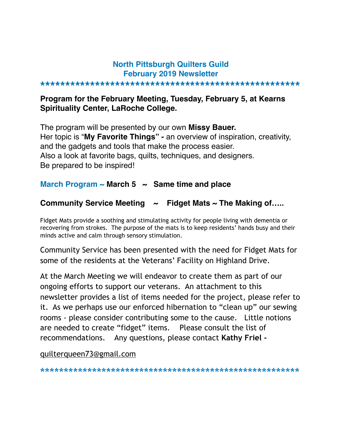## **North Pittsburgh Quilters Guild February 2019 Newsletter**

**\*\*\*\*\*\*\*\*\*\*\*\*\*\*\*\*\*\*\*\*\*\*\*\*\*\*\*\*\*\*\*\*\*\*\*\*\*\*\*\*\*\*\*\*\*\*\*\*\*\*\*\***

#### **Program for the February Meeting, Tuesday, February 5, at Kearns Spirituality Center, LaRoche College.**

The program will be presented by our own **Missy Bauer.** Her topic is "**My Favorite Things" -** an overview of inspiration, creativity, and the gadgets and tools that make the process easier. Also a look at favorite bags, quilts, techniques, and designers. Be prepared to be inspired!

#### **March Program ~ March 5 ~ Same time and place**

#### **Community Service Meeting ~ Fidget Mats ~ The Making of…..**

Fidget Mats provide a soothing and stimulating activity for people living with dementia or recovering from strokes. The purpose of the mats is to keep residents' hands busy and their minds active and calm through sensory stimulation.

Community Service has been presented with the need for Fidget Mats for some of the residents at the Veterans' Facility on Highland Drive.

At the March Meeting we will endeavor to create them as part of our ongoing efforts to support our veterans. An attachment to this newsletter provides a list of items needed for the project, please refer to it. As we perhaps use our enforced hibernation to "clean up" our sewing rooms - please consider contributing some to the cause. Little notions are needed to create "fidget" items. Please consult the list of recommendations. Any questions, please contact **Kathy Friel -** 

#### [quilterqueen73@gmail.com](mailto:quilterqueen73@gmail.com)

\*\*\*\*\*\*\*\*\*\*\*\*\*\*\*\*\*\*\*\*\*\*\*\*\*\*\*\*\*\*\*\*\*\*\*\*\*\*\*\*\*\*\*\*\*\*\*\*\*\*\*\*\*\*\*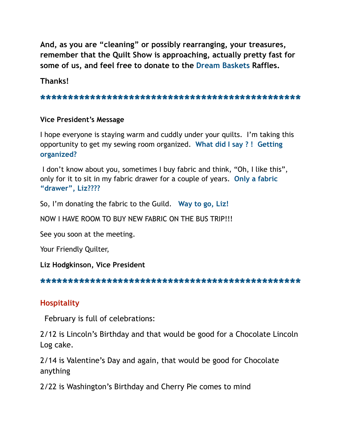**And, as you are "cleaning" or possibly rearranging, your treasures, remember that the Quilt Show is approaching, actually pretty fast for some of us, and feel free to donate to the Dream Baskets Raffles.** 

**Thanks!** 

#### **\*\*\*\*\*\*\*\*\*\*\*\*\*\*\*\*\*\*\*\*\*\*\*\*\*\*\*\*\*\*\*\*\*\*\*\*\*\*\*\*\*\*\*\*\*\*\***

#### **Vice President's Message**

I hope everyone is staying warm and cuddly under your quilts. I'm taking this opportunity to get my sewing room organized. **What did I say ? ! Getting organized?** 

 I don't know about you, sometimes I buy fabric and think, "Oh, I like this", only for it to sit in my fabric drawer for a couple of years. **Only a fabric "drawer", Liz????** 

So, I'm donating the fabric to the Guild. **Way to go, Liz!** 

NOW I HAVE ROOM TO BUY NEW FABRIC ON THE BUS TRIP!!!

See you soon at the meeting.

Your Friendly Quilter,

**Liz Hodgkinson, Vice President** 

#### **\*\*\*\*\*\*\*\*\*\*\*\*\*\*\*\*\*\*\*\*\*\*\*\*\*\*\*\*\*\*\*\*\*\*\*\*\*\*\*\*\*\*\*\*\*\*\***

## **Hospitality**

February is full of celebrations:

2/12 is Lincoln's Birthday and that would be good for a Chocolate Lincoln Log cake.

2/14 is Valentine's Day and again, that would be good for Chocolate anything

2/22 is Washington's Birthday and Cherry Pie comes to mind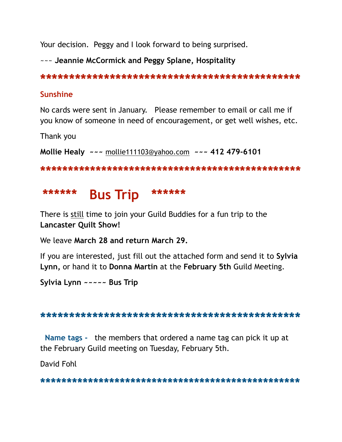Your decision. Peggy and I look forward to being surprised.

~~~ **Jeannie McCormick and Peggy Splane, Hospitality** 

**\*\*\*\*\*\*\*\*\*\*\*\*\*\*\*\*\*\*\*\*\*\*\*\*\*\*\*\*\*\*\*\*\*\*\*\*\*\*\*\*\*\*\*\*\***

#### **Sunshine**

No cards were sent in January. Please remember to email or call me if you know of someone in need of encouragement, or get well wishes, etc.

Thank you

**Mollie Healy ~~~** [mollie111103@yahoo.com](mailto:mollie111103@yahoo.com) **~~~ 412 479-6101** 

**\*\*\*\*\*\*\*\*\*\*\*\*\*\*\*\*\*\*\*\*\*\*\*\*\*\*\*\*\*\*\*\*\*\*\*\*\*\*\*\*\*\*\*\*\*\*\***

# **\*\*\*\*\*\* Bus Trip \*\*\*\*\*\***

There is still time to join your Guild Buddies for a fun trip to the **Lancaster Quilt Show!** 

We leave **March 28 and return March 29.** 

If you are interested, just fill out the attached form and send it to **Sylvia Lynn,** or hand it to **Donna Martin** at the **February 5th** Guild Meeting.

**Sylvia Lynn ~~~~~ Bus Trip** 

#### **\*\*\*\*\*\*\*\*\*\*\*\*\*\*\*\*\*\*\*\*\*\*\*\*\*\*\*\*\*\*\*\*\*\*\*\*\*\*\*\*\*\*\*\*\***

 **Name tags -** the members that ordered a name tag can pick it up at the February Guild meeting on Tuesday, February 5th.

David Fohl

**\*\*\*\*\*\*\*\*\*\*\*\*\*\*\*\*\*\*\*\*\*\*\*\*\*\*\*\*\*\*\*\*\*\*\*\*\*\*\*\*\*\*\*\*\*\*\*\*\***